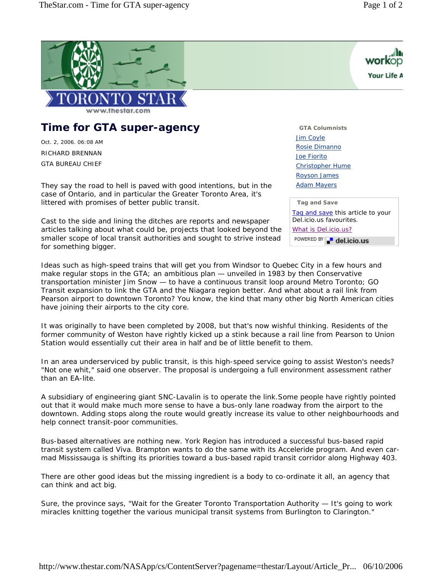

## **Time for GTA super-agency**

Oct. 2, 2006. 06:08 AM RICHARD BRENNAN

GTA BUREAU CHIEF

They say the road to hell is paved with good intentions, but in the case of Ontario, and in particular the Greater Toronto Area, it's littered with promises of better public transit.

Cast to the side and lining the ditches are reports and newspaper articles talking about what could be, projects that looked beyond the smaller scope of local transit authorities and sought to strive instead for something bigger.

Ideas such as high-speed trains that will get you from Windsor to Quebec City in a few hours and make regular stops in the GTA; an ambitious plan  $-$  unveiled in 1983 by then Conservative transportation minister Jim Snow — to have a continuous transit loop around Metro Toronto; GO Transit expansion to link the GTA and the Niagara region better. And what about a rail link from Pearson airport to downtown Toronto? You know, the kind that many other big North American cities have joining their airports to the city core.

It was originally to have been completed by 2008, but that's now wishful thinking. Residents of the former community of Weston have rightly kicked up a stink because a rail line from Pearson to Union Station would essentially cut their area in half and be of little benefit to them.

In an area underserviced by public transit, is this high-speed service going to assist Weston's needs? "Not one whit," said one observer. The proposal is undergoing a full environment assessment rather than an EA-lite.

A subsidiary of engineering giant SNC-Lavalin is to operate the link.Some people have rightly pointed out that it would make much more sense to have a bus-only lane roadway from the airport to the downtown. Adding stops along the route would greatly increase its value to other neighbourhoods and help connect transit-poor communities.

Bus-based alternatives are nothing new. York Region has introduced a successful bus-based rapid transit system called Viva. Brampton wants to do the same with its Acceleride program. And even carmad Mississauga is shifting its priorities toward a bus-based rapid transit corridor along Highway 403.

There are other good ideas but the missing ingredient is a body to co-ordinate it all, an agency that can think and act big.

Sure, the province says, "Wait for the Greater Toronto Transportation Authority — It's going to work miracles knitting together the various municipal transit systems from Burlington to Clarington."



**GTA Columnists** Jim Coyle Rosie Dimanno Joe Fiorito Christopher Hume Royson James Adam Mayers

## **Tag and Save**

Tag and save this article to your Del.icio.us favourites. What is Del.icio.us? POWERED BY del.icio.us